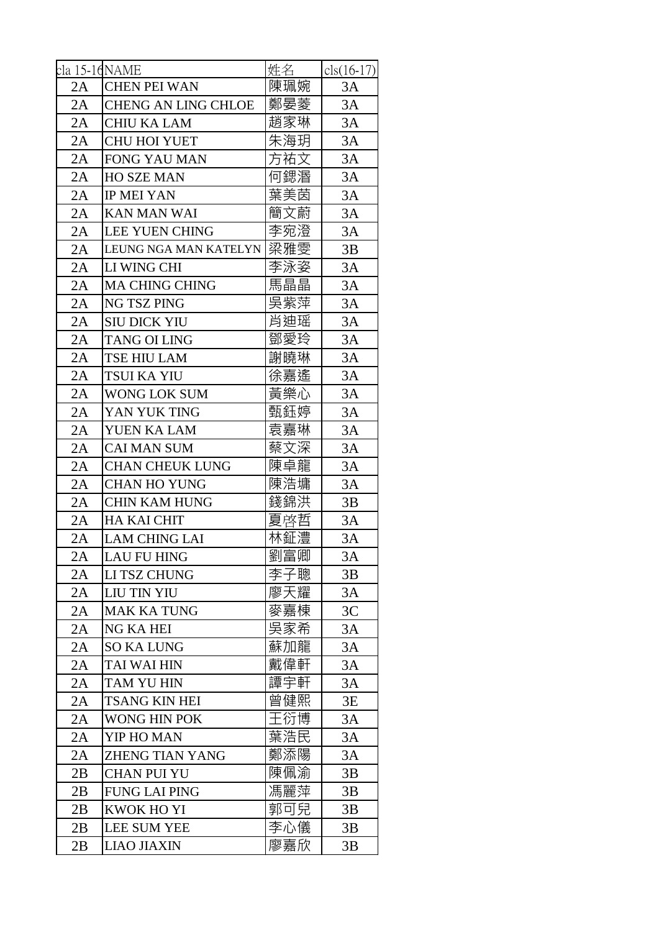| cla 15-16NAME |                            | 姓名  | $cls(16-17)$ |
|---------------|----------------------------|-----|--------------|
| 2A            | <b>CHEN PEI WAN</b>        | 陳珮婉 | 3A           |
| 2A            | <b>CHENG AN LING CHLOE</b> | 鄭晏菱 | 3A           |
| 2A            | <b>CHIU KA LAM</b>         | 趙家琳 | 3A           |
| 2A            | <b>CHU HOI YUET</b>        | 朱海玥 | 3A           |
| 2A            | FONG YAU MAN               | 方祐文 | 3A           |
| 2A            | <b>HO SZE MAN</b>          | 何鍶湣 | 3A           |
| 2A            | <b>IP MEI YAN</b>          | 葉美茵 | 3A           |
| 2A            | <b>KAN MAN WAI</b>         | 簡文蔚 | 3A           |
| 2A            | <b>LEE YUEN CHING</b>      | 李宛澄 | 3A           |
| 2A            | LEUNG NGA MAN KATELYN      | 梁雅雯 | 3B           |
| 2A            | LI WING CHI                | 李泳姿 | 3A           |
| 2A            | <b>MA CHING CHING</b>      | 馬晶晶 | 3A           |
| 2A            | NG TSZ PING                | 吳紫萍 | 3A           |
| 2A            | <b>SIU DICK YIU</b>        | 肖迪瑶 | 3A           |
| 2A            | <b>TANG OI LING</b>        | 鄧愛玲 | 3A           |
| 2A            | TSE HIU LAM                | 謝曉琳 | 3A           |
| 2A            | TSUI KA YIU                | 徐嘉遙 | 3A           |
| 2A            | WONG LOK SUM               | 黃樂心 | 3A           |
| 2A            | YAN YUK TING               | 甄鈺婷 | 3A           |
| 2A            | YUEN KA LAM                | 袁嘉琳 | $3A$         |
| 2A            | <b>CAI MAN SUM</b>         | 蔡文深 | 3A           |
| 2A            | <b>CHAN CHEUK LUNG</b>     | 陳卓龍 | 3A           |
| 2A            | <b>CHAN HO YUNG</b>        | 陳浩墉 | 3A           |
| 2A            | <b>CHIN KAM HUNG</b>       | 錢錦洪 | 3B           |
| 2A            | <b>HA KAI CHIT</b>         | 夏啓哲 | 3A           |
| 2A            | <b>LAM CHING LAI</b>       | 林鉦澧 | 3A           |
| 2A            | LAU FU HING                | 劉富卿 | 3A           |
| 2A            | LI TSZ CHUNG               | 李子聰 | 3B           |
| 2A            | LIU TIN YIU                | 廖天耀 | 3A           |
| 2A            | <b>MAK KA TUNG</b>         | 麥嘉棟 | 3C           |
| 2A            | <b>NG KA HEI</b>           | 吳家希 | 3A           |
| 2A            | <b>SO KA LUNG</b>          | 蘇加龍 | 3A           |
| 2A            | <b>TAI WAI HIN</b>         | 戴偉軒 | 3A           |
| 2A            | TAM YU HIN                 | 譚宇軒 | 3A           |
| 2A            | <b>TSANG KIN HEI</b>       | 曾健熙 | 3E           |
| 2A            | WONG HIN POK               | 王衍博 | 3A           |
| 2A            | YIP HO MAN                 | 葉浩民 | 3A           |
| 2A            | <b>ZHENG TIAN YANG</b>     | 鄭添陽 | 3A           |
| 2B            | <b>CHAN PUI YU</b>         | 陳佩渝 | 3B           |
| 2B            | <b>FUNG LAI PING</b>       | 馮麗萍 | 3B           |
| 2B            | <b>KWOK HO YI</b>          | 郭可兒 | 3B           |
| 2B            | <b>LEE SUM YEE</b>         | 李心儀 | 3B           |
| 2B            | <b>LIAO JIAXIN</b>         | 廖嘉欣 | 3B           |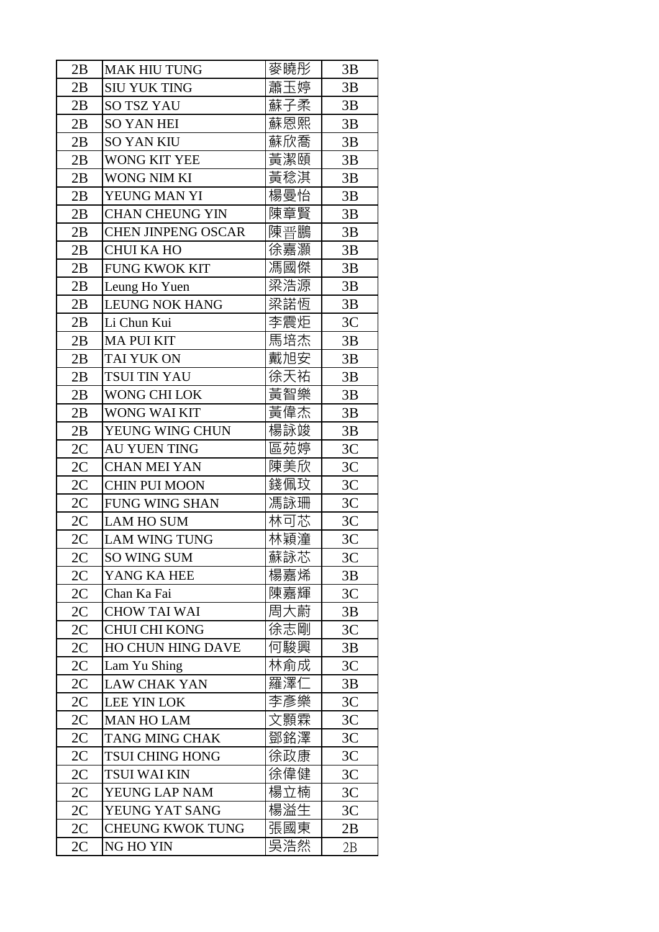| 2B | <b>MAK HIU TUNG</b>       | 麥曉彤 | 3B             |
|----|---------------------------|-----|----------------|
| 2B | <b>SIU YUK TING</b>       | 蕭玉婷 | 3B             |
| 2B | <b>SO TSZ YAU</b>         | 蘇子柔 | 3B             |
| 2B | <b>SO YAN HEI</b>         | 蘇恩熙 | 3B             |
| 2B | <b>SO YAN KIU</b>         | 蘇欣喬 | 3B             |
| 2B | WONG KIT YEE              | 黃潔頤 | 3B             |
| 2B | <b>WONG NIM KI</b>        | 黃稔淇 | 3B             |
| 2B | YEUNG MAN YI              | 楊曼怡 | 3B             |
| 2B | <b>CHAN CHEUNG YIN</b>    | 陳章賢 | 3B             |
| 2B | <b>CHEN JINPENG OSCAR</b> | 陳晋鵬 | 3B             |
| 2B | <b>CHUI KA HO</b>         | 徐嘉灝 | 3B             |
| 2B | <b>FUNG KWOK KIT</b>      | 馮國傑 | 3B             |
| 2B | Leung Ho Yuen             | 梁浩源 | 3B             |
| 2B | <b>LEUNG NOK HANG</b>     | 梁諾恆 | 3B             |
| 2B | Li Chun Kui               | 李震炬 | 3C             |
| 2B | <b>MA PUI KIT</b>         | 馬培杰 | 3B             |
| 2B | TAI YUK ON                | 戴旭安 | 3B             |
| 2B | TSUI TIN YAU              | 徐天祐 | 3B             |
| 2B | <b>WONG CHI LOK</b>       | 黃智樂 | 3B             |
| 2B | WONG WAI KIT              | 黃偉杰 | 3B             |
| 2B | YEUNG WING CHUN           | 楊詠竣 | 3B             |
| 2C | <b>AU YUEN TING</b>       | 區苑婷 | 3C             |
| 2C | <b>CHAN MEI YAN</b>       | 陳美欣 | 3C             |
| 2C | CHIN PUI MOON             | 錢佩玟 | 3C             |
| 2C | <b>FUNG WING SHAN</b>     | 馮詠珊 | 3C             |
| 2C | <b>LAM HO SUM</b>         | 林可芯 | 3C             |
| 2C | <b>LAM WING TUNG</b>      | 林穎潼 | 3C             |
| 2C | SO WING SUM               | 蘇詠芯 | 3 <sup>C</sup> |
| 2C | YANG KA HEE               | 楊嘉烯 | 3B             |
| 2C | Chan Ka Fai               | 陳嘉輝 | 3C             |
| 2C | <b>CHOW TAI WAI</b>       | 周大蔚 | 3B             |
| 2C | <b>CHUI CHI KONG</b>      | 徐志剛 | 3C             |
| 2C | HO CHUN HING DAVE         | 何駿興 | 3B             |
| 2C | Lam Yu Shing              | 林俞成 | 3C             |
| 2C | <b>LAW CHAK YAN</b>       | 羅澤仁 | 3B             |
| 2C | LEE YIN LOK               | 李彥樂 | 3C             |
| 2C | <b>MAN HO LAM</b>         | 文顥霖 | 3C             |
| 2C | <b>TANG MING CHAK</b>     | 鄧銘澤 | 3C             |
| 2C | <b>TSUI CHING HONG</b>    | 徐政康 | 3C             |
| 2C | <b>TSUI WAI KIN</b>       | 徐偉健 | 3C             |
| 2C | YEUNG LAP NAM             | 楊立楠 | 3C             |
| 2C | YEUNG YAT SANG            | 楊溢生 | 3C             |
| 2C | <b>CHEUNG KWOK TUNG</b>   | 張國東 | 2B             |
| 2C | NG HO YIN                 | 吳浩然 | 2B             |